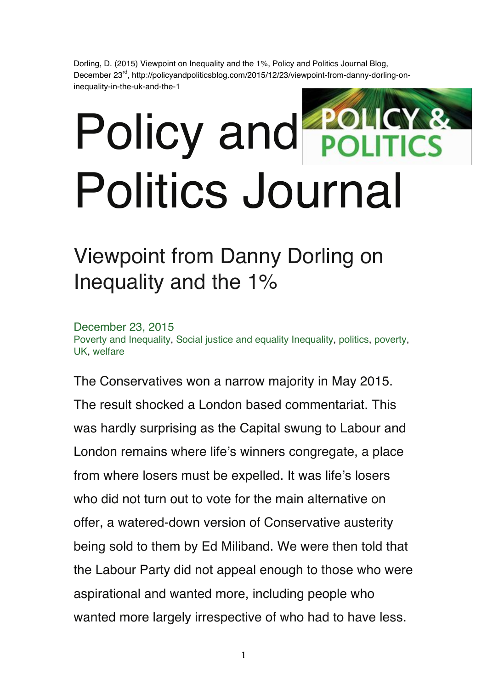Dorling, D. (2015) Viewpoint on Inequality and the 1%, Policy and Politics Journal Blog, December 23<sup>rd</sup>, http://policyandpoliticsblog.com/2015/12/23/viewpoint-from-danny-dorling-oninequality-in-the-uk-and-the-1

## Policy and Politics Journal

## Viewpoint from Danny Dorling on Inequality and the 1%

December 23, 2015 Poverty and Inequality, Social justice and equality Inequality, politics, poverty, UK, welfare

The Conservatives won a narrow majority in May 2015. The result shocked a London based commentariat. This was hardly surprising as the Capital swung to Labour and London remains where life's winners congregate, a place from where losers must be expelled. It was life's losers who did not turn out to vote for the main alternative on offer, a watered-down version of Conservative austerity being sold to them by Ed Miliband. We were then told that the Labour Party did not appeal enough to those who were aspirational and wanted more, including people who wanted more largely irrespective of who had to have less.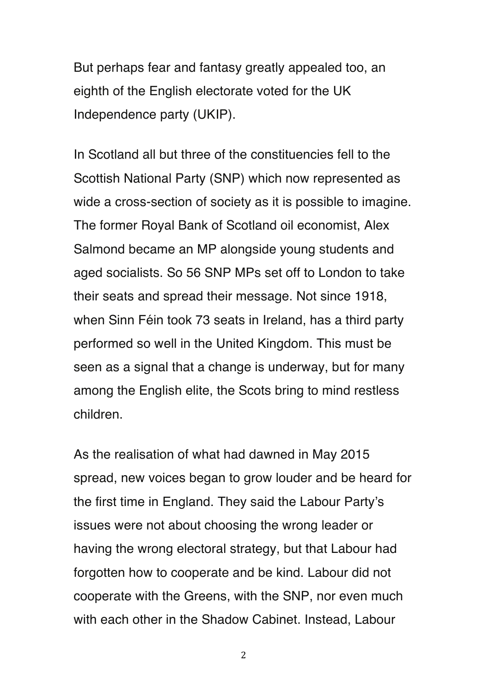But perhaps fear and fantasy greatly appealed too, an eighth of the English electorate voted for the UK Independence party (UKIP).

In Scotland all but three of the constituencies fell to the Scottish National Party (SNP) which now represented as wide a cross-section of society as it is possible to imagine. The former Royal Bank of Scotland oil economist, Alex Salmond became an MP alongside young students and aged socialists. So 56 SNP MPs set off to London to take their seats and spread their message. Not since 1918, when Sinn Féin took 73 seats in Ireland, has a third party performed so well in the United Kingdom. This must be seen as a signal that a change is underway, but for many among the English elite, the Scots bring to mind restless children.

As the realisation of what had dawned in May 2015 spread, new voices began to grow louder and be heard for the first time in England. They said the Labour Party's issues were not about choosing the wrong leader or having the wrong electoral strategy, but that Labour had forgotten how to cooperate and be kind. Labour did not cooperate with the Greens, with the SNP, nor even much with each other in the Shadow Cabinet. Instead, Labour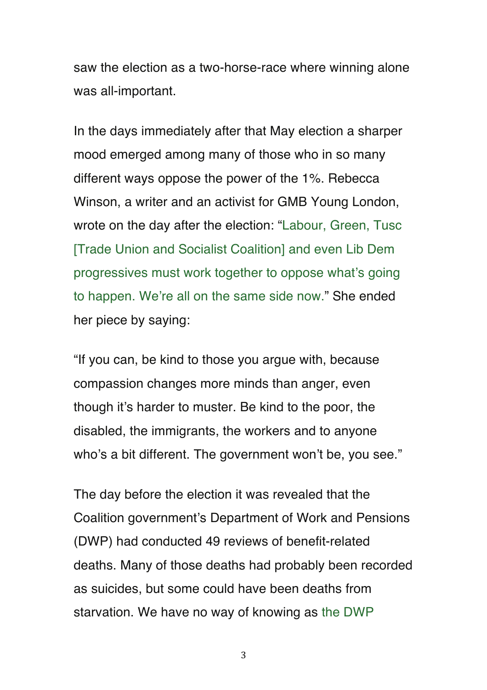saw the election as a two-horse-race where winning alone was all-important.

In the days immediately after that May election a sharper mood emerged among many of those who in so many different ways oppose the power of the 1%. Rebecca Winson, a writer and an activist for GMB Young London, wrote on the day after the election: "Labour, Green, Tusc [Trade Union and Socialist Coalition] and even Lib Dem progressives must work together to oppose what's going to happen. We're all on the same side now." She ended her piece by saying:

"If you can, be kind to those you argue with, because compassion changes more minds than anger, even though it's harder to muster. Be kind to the poor, the disabled, the immigrants, the workers and to anyone who's a bit different. The government won't be, you see."

The day before the election it was revealed that the Coalition government's Department of Work and Pensions (DWP) had conducted 49 reviews of benefit-related deaths. Many of those deaths had probably been recorded as suicides, but some could have been deaths from starvation. We have no way of knowing as the DWP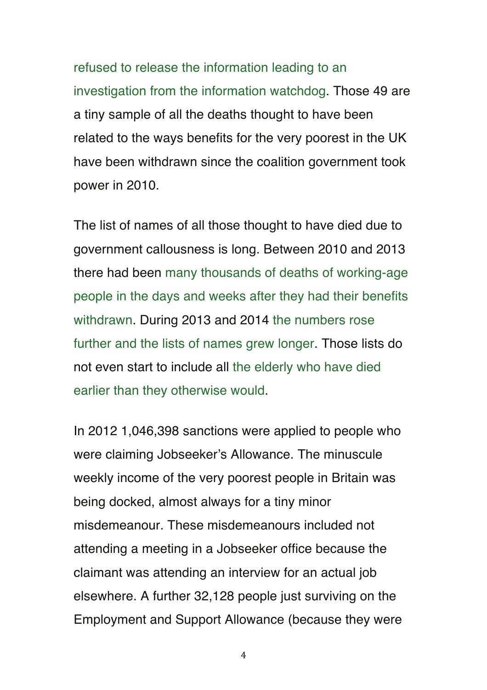refused to release the information leading to an investigation from the information watchdog. Those 49 are a tiny sample of all the deaths thought to have been related to the ways benefits for the very poorest in the UK have been withdrawn since the coalition government took power in 2010.

The list of names of all those thought to have died due to government callousness is long. Between 2010 and 2013 there had been many thousands of deaths of working-age people in the days and weeks after they had their benefits withdrawn. During 2013 and 2014 the numbers rose further and the lists of names grew longer. Those lists do not even start to include all the elderly who have died earlier than they otherwise would.

In 2012 1,046,398 sanctions were applied to people who were claiming Jobseeker's Allowance. The minuscule weekly income of the very poorest people in Britain was being docked, almost always for a tiny minor misdemeanour. These misdemeanours included not attending a meeting in a Jobseeker office because the claimant was attending an interview for an actual job elsewhere. A further 32,128 people just surviving on the Employment and Support Allowance (because they were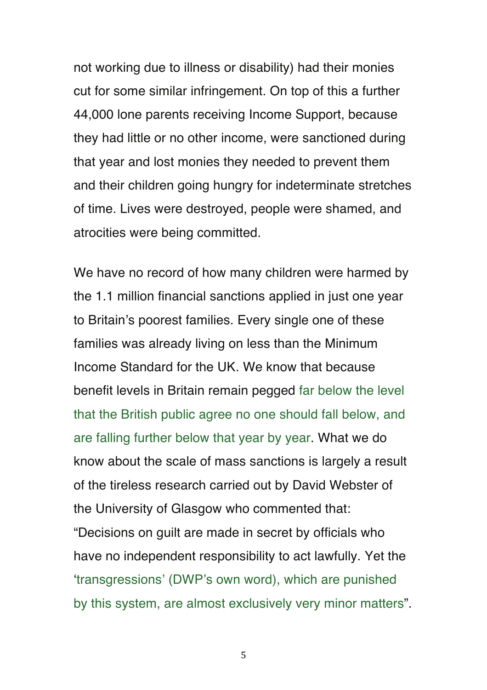not working due to illness or disability) had their monies cut for some similar infringement. On top of this a further 44,000 lone parents receiving Income Support, because they had little or no other income, were sanctioned during that year and lost monies they needed to prevent them and their children going hungry for indeterminate stretches of time. Lives were destroyed, people were shamed, and atrocities were being committed.

We have no record of how many children were harmed by the 1.1 million financial sanctions applied in just one year to Britain's poorest families. Every single one of these families was already living on less than the Minimum Income Standard for the UK. We know that because benefit levels in Britain remain pegged far below the level that the British public agree no one should fall below, and are falling further below that year by year. What we do know about the scale of mass sanctions is largely a result of the tireless research carried out by David Webster of the University of Glasgow who commented that: "Decisions on guilt are made in secret by officials who have no independent responsibility to act lawfully. Yet the 'transgressions' (DWP's own word), which are punished by this system, are almost exclusively very minor matters".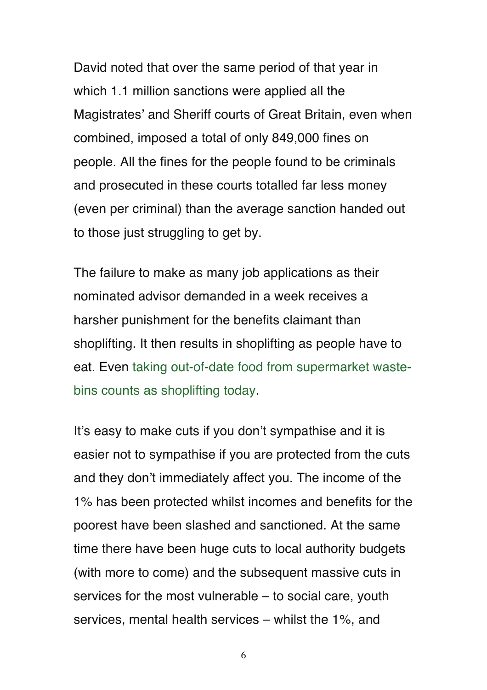David noted that over the same period of that year in which 1.1 million sanctions were applied all the Magistrates' and Sheriff courts of Great Britain, even when combined, imposed a total of only 849,000 fines on people. All the fines for the people found to be criminals and prosecuted in these courts totalled far less money (even per criminal) than the average sanction handed out to those just struggling to get by.

The failure to make as many job applications as their nominated advisor demanded in a week receives a harsher punishment for the benefits claimant than shoplifting. It then results in shoplifting as people have to eat. Even taking out-of-date food from supermarket wastebins counts as shoplifting today.

It's easy to make cuts if you don't sympathise and it is easier not to sympathise if you are protected from the cuts and they don't immediately affect you. The income of the 1% has been protected whilst incomes and benefits for the poorest have been slashed and sanctioned. At the same time there have been huge cuts to local authority budgets (with more to come) and the subsequent massive cuts in services for the most vulnerable – to social care, youth services, mental health services – whilst the 1%, and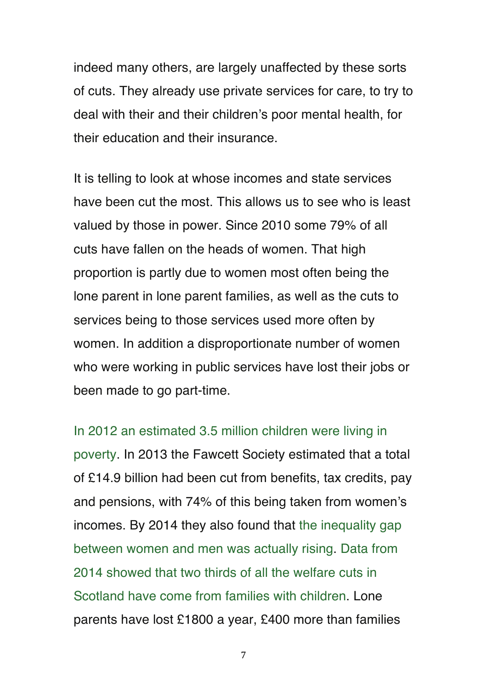indeed many others, are largely unaffected by these sorts of cuts. They already use private services for care, to try to deal with their and their children's poor mental health, for their education and their insurance.

It is telling to look at whose incomes and state services have been cut the most. This allows us to see who is least valued by those in power. Since 2010 some 79% of all cuts have fallen on the heads of women. That high proportion is partly due to women most often being the lone parent in lone parent families, as well as the cuts to services being to those services used more often by women. In addition a disproportionate number of women who were working in public services have lost their jobs or been made to go part-time.

In 2012 an estimated 3.5 million children were living in poverty. In 2013 the Fawcett Society estimated that a total of £14.9 billion had been cut from benefits, tax credits, pay and pensions, with 74% of this being taken from women's incomes. By 2014 they also found that the inequality gap between women and men was actually rising. Data from 2014 showed that two thirds of all the welfare cuts in Scotland have come from families with children. Lone parents have lost £1800 a year, £400 more than families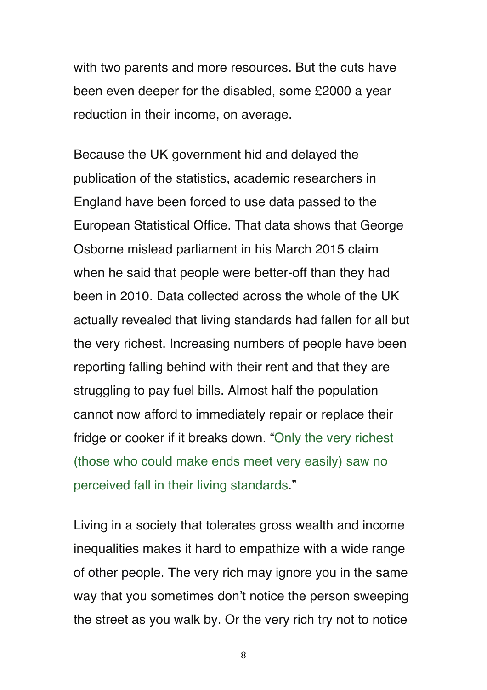with two parents and more resources. But the cuts have been even deeper for the disabled, some £2000 a year reduction in their income, on average.

Because the UK government hid and delayed the publication of the statistics, academic researchers in England have been forced to use data passed to the European Statistical Office. That data shows that George Osborne mislead parliament in his March 2015 claim when he said that people were better-off than they had been in 2010. Data collected across the whole of the UK actually revealed that living standards had fallen for all but the very richest. Increasing numbers of people have been reporting falling behind with their rent and that they are struggling to pay fuel bills. Almost half the population cannot now afford to immediately repair or replace their fridge or cooker if it breaks down. "Only the very richest (those who could make ends meet very easily) saw no perceived fall in their living standards."

Living in a society that tolerates gross wealth and income inequalities makes it hard to empathize with a wide range of other people. The very rich may ignore you in the same way that you sometimes don't notice the person sweeping the street as you walk by. Or the very rich try not to notice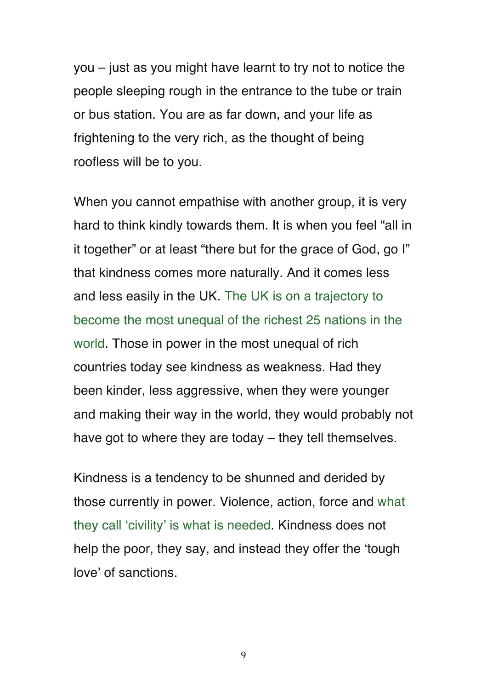you – just as you might have learnt to try not to notice the people sleeping rough in the entrance to the tube or train or bus station. You are as far down, and your life as frightening to the very rich, as the thought of being roofless will be to you.

When you cannot empathise with another group, it is very hard to think kindly towards them. It is when you feel "all in it together" or at least "there but for the grace of God, go I" that kindness comes more naturally. And it comes less and less easily in the UK. The UK is on a trajectory to become the most unequal of the richest 25 nations in the world. Those in power in the most unequal of rich countries today see kindness as weakness. Had they been kinder, less aggressive, when they were younger and making their way in the world, they would probably not have got to where they are today – they tell themselves.

Kindness is a tendency to be shunned and derided by those currently in power. Violence, action, force and what they call 'civility' is what is needed. Kindness does not help the poor, they say, and instead they offer the 'tough love' of sanctions.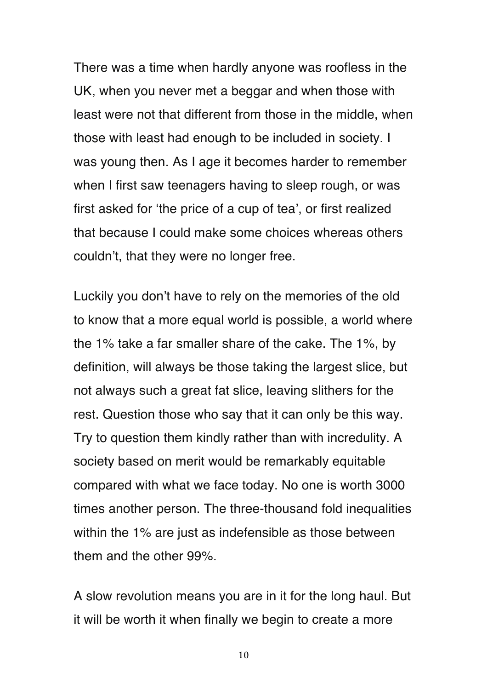There was a time when hardly anyone was roofless in the UK, when you never met a beggar and when those with least were not that different from those in the middle, when those with least had enough to be included in society. I was young then. As I age it becomes harder to remember when I first saw teenagers having to sleep rough, or was first asked for 'the price of a cup of tea', or first realized that because I could make some choices whereas others couldn't, that they were no longer free.

Luckily you don't have to rely on the memories of the old to know that a more equal world is possible, a world where the 1% take a far smaller share of the cake. The 1%, by definition, will always be those taking the largest slice, but not always such a great fat slice, leaving slithers for the rest. Question those who say that it can only be this way. Try to question them kindly rather than with incredulity. A society based on merit would be remarkably equitable compared with what we face today. No one is worth 3000 times another person. The three-thousand fold inequalities within the 1% are just as indefensible as those between them and the other 99%.

A slow revolution means you are in it for the long haul. But it will be worth it when finally we begin to create a more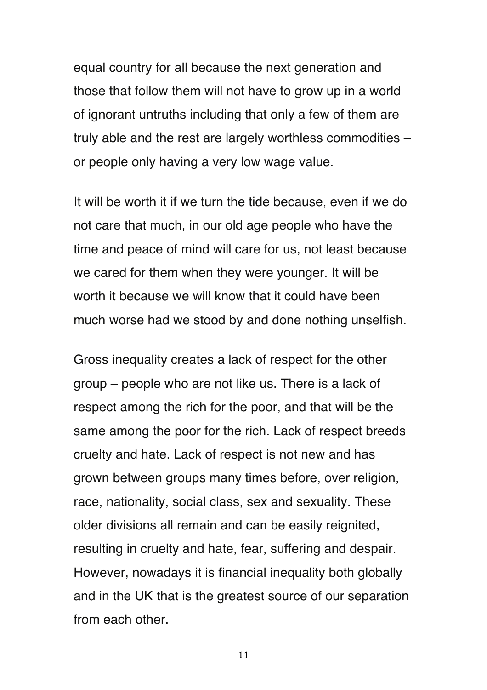equal country for all because the next generation and those that follow them will not have to grow up in a world of ignorant untruths including that only a few of them are truly able and the rest are largely worthless commodities – or people only having a very low wage value.

It will be worth it if we turn the tide because, even if we do not care that much, in our old age people who have the time and peace of mind will care for us, not least because we cared for them when they were younger. It will be worth it because we will know that it could have been much worse had we stood by and done nothing unselfish.

Gross inequality creates a lack of respect for the other group – people who are not like us. There is a lack of respect among the rich for the poor, and that will be the same among the poor for the rich. Lack of respect breeds cruelty and hate. Lack of respect is not new and has grown between groups many times before, over religion, race, nationality, social class, sex and sexuality. These older divisions all remain and can be easily reignited, resulting in cruelty and hate, fear, suffering and despair. However, nowadays it is financial inequality both globally and in the UK that is the greatest source of our separation from each other.